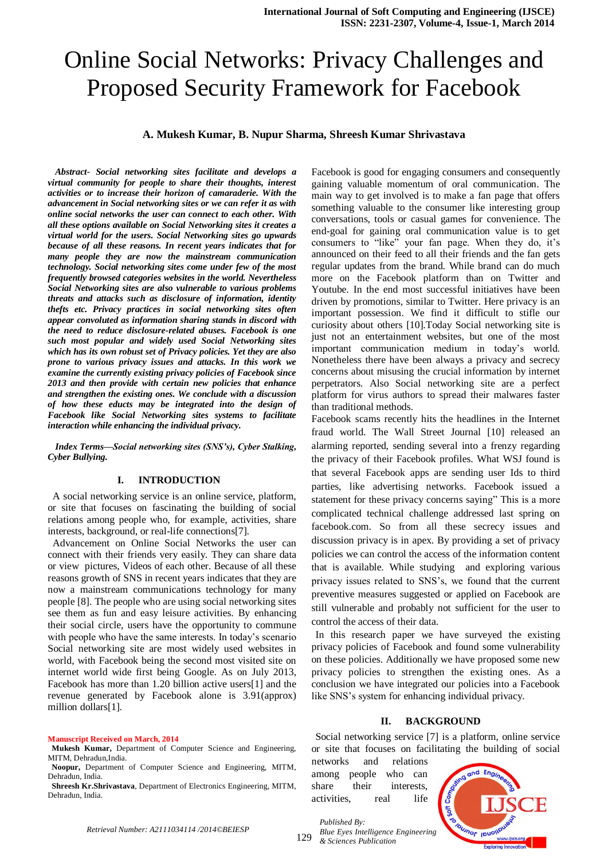# Online Social Networks: Privacy Challenges and Proposed Security Framework for Facebook

#### **A. Mukesh Kumar, B. Nupur Sharma, Shreesh Kumar Shrivastava**

*Abstract- Social networking sites facilitate and develops a virtual community for people to share their thoughts, interest activities or to increase their horizon of camaraderie. With the advancement in Social networking sites or we can refer it as with online social networks the user can connect to each other. With all these options available on Social Networking sites it creates a virtual world for the users. Social Networking sites go upwards because of all these reasons. In recent years indicates that for many people they are now the mainstream communication technology. Social networking sites come under few of the most frequently browsed categories websites in the world. Nevertheless Social Networking sites are also vulnerable to various problems threats and attacks such as disclosure of information, identity thefts etc. Privacy practices in social networking sites often appear convoluted as information sharing stands in discord with the need to reduce disclosure-related abuses. Facebook is one such most popular and widely used Social Networking sites which has its own robust set of Privacy policies. Yet they are also prone to various privacy issues and attacks. In this work we examine the currently existing privacy policies of Facebook since 2013 and then provide with certain new policies that enhance and strengthen the existing ones. We conclude with a discussion of how these educts may be integrated into the design of Facebook like Social Networking sites systems to facilitate interaction while enhancing the individual privacy.*

#### *Index Terms—Social networking sites (SNS's), Cyber Stalking, Cyber Bullying.*

#### **I. INTRODUCTION**

 A social networking service is an online service, platform, or site that focuses on fascinating the building of social relations among people who, for example, activities, share interests, background, or real-life connections[7].

 Advancement on Online Social Networks the user can connect with their friends very easily. They can share data or view pictures, Videos of each other. Because of all these reasons growth of SNS in recent years indicates that they are now a mainstream communications technology for many people [8]. The people who are using social networking sites see them as fun and easy leisure activities. By enhancing their social circle, users have the opportunity to commune with people who have the same interests. In today's scenario Social networking site are most widely used websites in world, with Facebook being the second most visited site on internet world wide first being Google. As on July 2013, Facebook has more than 1.20 billion active users[1] and the revenue generated by Facebook alone is 3.91(approx) million dollars[1].

#### **Manuscript Received on March, 2014**

Facebook is good for engaging consumers and consequently gaining valuable momentum of oral communication. The main way to get involved is to make a fan page that offers something valuable to the consumer like interesting group conversations, tools or casual games for convenience. The end-goal for gaining oral communication value is to get consumers to "like" your fan page. When they do, it's announced on their feed to all their friends and the fan gets regular updates from the brand. While brand can do much more on the Facebook platform than on Twitter and Youtube. In the end most successful initiatives have been driven by promotions, similar to Twitter. Here privacy is an important possession. We find it difficult to stifle our curiosity about others [10].Today Social networking site is just not an entertainment websites, but one of the most important communication medium in today's world. Nonetheless there have been always a privacy and secrecy concerns about misusing the crucial information by internet perpetrators. Also Social networking site are a perfect platform for virus authors to spread their malwares faster than traditional methods.

Facebook scams recently hits the headlines in the Internet fraud world. The Wall Street Journal [10] released an alarming reported, sending several into a frenzy regarding the privacy of their Facebook profiles. What WSJ found is that several Facebook apps are sending user Ids to third parties, like advertising networks. Facebook issued a statement for these privacy concerns saying" This is a more complicated technical challenge addressed last spring on facebook.com. So from all these secrecy issues and discussion privacy is in apex. By providing a set of privacy policies we can control the access of the information content that is available. While studying and exploring various privacy issues related to SNS's, we found that the current preventive measures suggested or applied on Facebook are still vulnerable and probably not sufficient for the user to control the access of their data.

In this research paper we have surveyed the existing privacy policies of Facebook and found some vulnerability on these policies. Additionally we have proposed some new privacy policies to strengthen the existing ones. As a conclusion we have integrated our policies into a Facebook like SNS's system for enhancing individual privacy.

#### **II. BACKGROUND**

Social networking service [7] is a platform, online service or site that focuses on facilitating the building of social

networks and relations among people who can share their interests, activities, real life

*Published By:*



**Mukesh Kumar,** Department of Computer Science and Engineering, MITM, Dehradun,India.

**Noopur,** Department of Computer Science and Engineering, MITM, Dehradun, India.

**Shreesh Kr.Shrivastava**, Department of Electronics Engineering, MITM, Dehradun, India.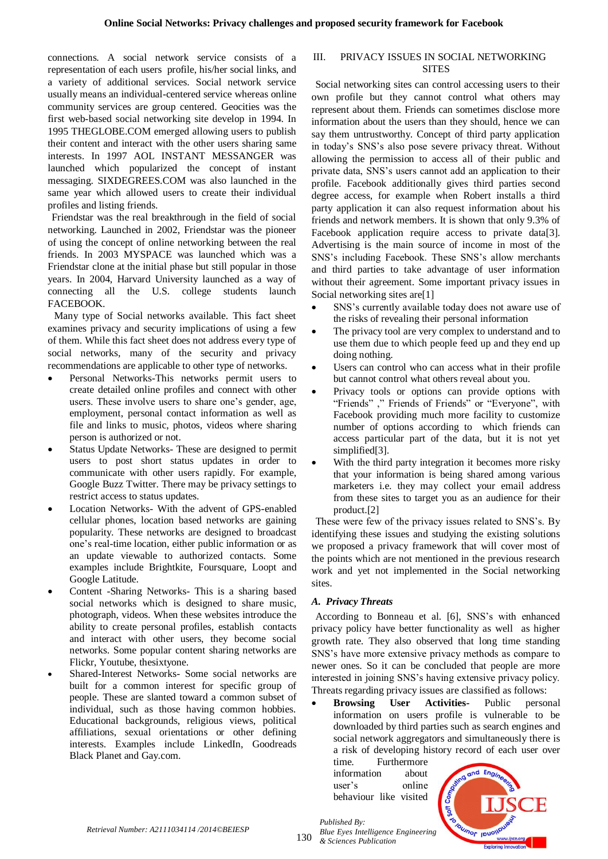connections. A social network service consists of a representation of each users profile, his/her social links, and a variety of additional services. Social network service usually means an individual-centered service whereas online community services are group centered. Geocities was the first web-based social networking site develop in 1994. In 1995 THEGLOBE.COM emerged allowing users to publish their content and interact with the other users sharing same interests. In 1997 AOL INSTANT MESSANGER was launched which popularized the concept of instant messaging. SIXDEGREES.COM was also launched in the same year which allowed users to create their individual profiles and listing friends.

Friendstar was the real breakthrough in the field of social networking. Launched in 2002, Friendstar was the pioneer of using the concept of online networking between the real friends. In 2003 MYSPACE was launched which was a Friendstar clone at the initial phase but still popular in those years. In 2004, Harvard University launched as a way of connecting all the U.S. college students launch FACEBOOK.

Many type of Social networks available. This fact sheet examines privacy and security implications of using a few of them. While this fact sheet does not address every type of social networks, many of the security and privacy recommendations are applicable to other type of networks.

- Personal Networks-This networks permit users to create detailed online profiles and connect with other users. These involve users to share one's gender, age, employment, personal contact information as well as file and links to music, photos, videos where sharing person is authorized or not.
- Status Update Networks- These are designed to permit users to post short status updates in order to communicate with other users rapidly. For example, Google Buzz Twitter. There may be privacy settings to restrict access to status updates.
- Location Networks- With the advent of GPS-enabled cellular phones, location based networks are gaining popularity. These networks are designed to broadcast one's real-time location, either public information or as an update viewable to authorized contacts. Some examples include Brightkite, Foursquare, Loopt and Google Latitude.
- Content -Sharing Networks- This is a sharing based social networks which is designed to share music, photograph, videos. When these websites introduce the ability to create personal profiles, establish contacts and interact with other users, they become social networks. Some popular content sharing networks are Flickr, Youtube, thesixtyone.
- Shared-Interest Networks- Some social networks are built for a common interest for specific group of people. These are slanted toward a common subset of individual, such as those having common hobbies. Educational backgrounds, religious views, political affiliations, sexual orientations or other defining interests. Examples include LinkedIn, Goodreads Black Planet and Gay.com.

## III. PRIVACY ISSUES IN SOCIAL NETWORKING **SITES**

Social networking sites can control accessing users to their own profile but they cannot control what others may represent about them. Friends can sometimes disclose more information about the users than they should, hence we can say them untrustworthy. Concept of third party application in today's SNS's also pose severe privacy threat. Without allowing the permission to access all of their public and private data, SNS's users cannot add an application to their profile. Facebook additionally gives third parties second degree access, for example when Robert installs a third party application it can also request information about his friends and network members. It is shown that only 9.3% of Facebook application require access to private data[3]. Advertising is the main source of income in most of the SNS's including Facebook. These SNS's allow merchants and third parties to take advantage of user information without their agreement. Some important privacy issues in Social networking sites are<sup>[1]</sup>

- SNS's currently available today does not aware use of the risks of revealing their personal information
- The privacy tool are very complex to understand and to use them due to which people feed up and they end up doing nothing.
- Users can control who can access what in their profile but cannot control what others reveal about you.
- Privacy tools or options can provide options with "Friends" ," Friends of Friends" or "Everyone", with Facebook providing much more facility to customize number of options according to which friends can access particular part of the data, but it is not yet simplified[3].
- With the third party integration it becomes more risky that your information is being shared among various marketers i.e. they may collect your email address from these sites to target you as an audience for their product.[2]

These were few of the privacy issues related to SNS's. By identifying these issues and studying the existing solutions we proposed a privacy framework that will cover most of the points which are not mentioned in the previous research work and yet not implemented in the Social networking sites.

# *A. Privacy Threats*

According to Bonneau et al. [6], SNS's with enhanced privacy policy have better functionality as well as higher growth rate. They also observed that long time standing SNS's have more extensive privacy methods as compare to newer ones. So it can be concluded that people are more interested in joining SNS's having extensive privacy policy. Threats regarding privacy issues are classified as follows:

 **Browsing User Activities-** Public personal information on users profile is vulnerable to be downloaded by third parties such as search engines and social network aggregators and simultaneously there is a risk of developing history record of each user over

time. Furthermore information about user's online behaviour like visited



*Blue Eyes Intelligence Engineering & Sciences Publication* 

*Published By:*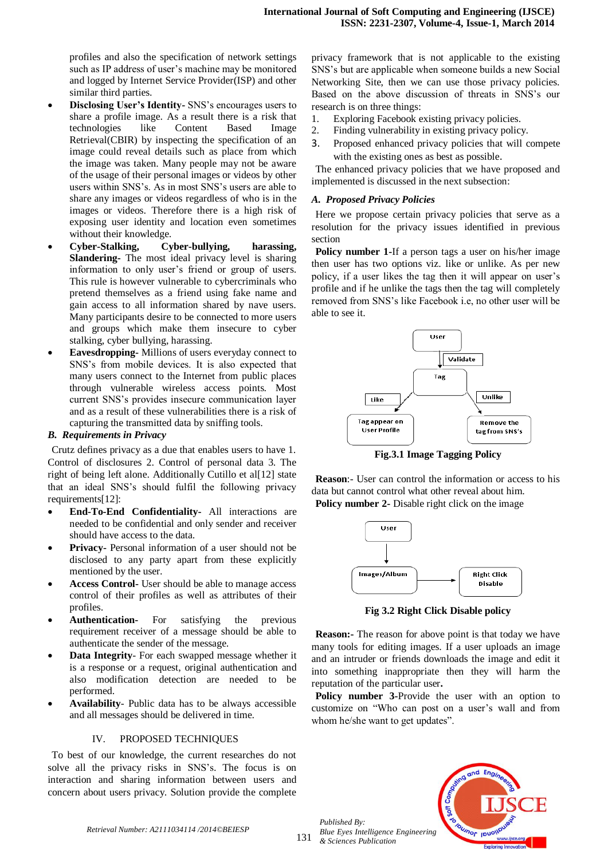profiles and also the specification of network settings such as IP address of user's machine may be monitored and logged by Internet Service Provider(ISP) and other similar third parties.

- **Disclosing User's Identity-** SNS's encourages users to share a profile image. As a result there is a risk that technologies like Content Based Image Retrieval(CBIR) by inspecting the specification of an image could reveal details such as place from which the image was taken. Many people may not be aware of the usage of their personal images or videos by other users within SNS's. As in most SNS's users are able to share any images or videos regardless of who is in the images or videos. Therefore there is a high risk of exposing user identity and location even sometimes without their knowledge.
- **Cyber-Stalking, Cyber-bullying, harassing, Slandering-** The most ideal privacy level is sharing information to only user's friend or group of users. This rule is however vulnerable to cybercriminals who pretend themselves as a friend using fake name and gain access to all information shared by nave users. Many participants desire to be connected to more users and groups which make them insecure to cyber stalking, cyber bullying, harassing.
- **Eavesdropping-** Millions of users everyday connect to SNS's from mobile devices. It is also expected that many users connect to the Internet from public places through vulnerable wireless access points. Most current SNS's provides insecure communication layer and as a result of these vulnerabilities there is a risk of capturing the transmitted data by sniffing tools.

## *B. Requirements in Privacy*

Crutz defines privacy as a due that enables users to have 1. Control of disclosures 2. Control of personal data 3. The right of being left alone. Additionally Cutillo et al[12] state that an ideal SNS's should fulfil the following privacy requirements[12]:

- **End-To-End Confidentiality-** All interactions are needed to be confidential and only sender and receiver should have access to the data.
- **Privacy-** Personal information of a user should not be disclosed to any party apart from these explicitly mentioned by the user.
- **Access Control-** User should be able to manage access control of their profiles as well as attributes of their profiles.
- **Authentication-** For satisfying the previous requirement receiver of a message should be able to authenticate the sender of the message.
- **Data Integrity** For each swapped message whether it is a response or a request, original authentication and also modification detection are needed to be performed.
- **Availability** Public data has to be always accessible and all messages should be delivered in time.

## IV. PROPOSED TECHNIQUES

To best of our knowledge, the current researches do not solve all the privacy risks in SNS's. The focus is on interaction and sharing information between users and concern about users privacy. Solution provide the complete

privacy framework that is not applicable to the existing SNS's but are applicable when someone builds a new Social Networking Site, then we can use those privacy policies. Based on the above discussion of threats in SNS's our research is on three things:

- 1. Exploring Facebook existing privacy policies.
- 2. Finding vulnerability in existing privacy policy.
- 3. Proposed enhanced privacy policies that will compete with the existing ones as best as possible.

The enhanced privacy policies that we have proposed and implemented is discussed in the next subsection:

#### *A. Proposed Privacy Policies*

Here we propose certain privacy policies that serve as a resolution for the privacy issues identified in previous section

**Policy number 1-**If a person tags a user on his/her image then user has two options viz. like or unlike. As per new policy, if a user likes the tag then it will appear on user's profile and if he unlike the tags then the tag will completely removed from SNS's like Facebook i.e, no other user will be able to see it.



**Fig.3.1 Image Tagging Policy**

**Reason**:- User can control the information or access to his data but cannot control what other reveal about him. **Policy number 2-** Disable right click on the image



**Fig 3.2 Right Click Disable policy**

**Reason:-** The reason for above point is that today we have many tools for editing images. If a user uploads an image and an intruder or friends downloads the image and edit it into something inappropriate then they will harm the reputation of the particular user**.**

Policy number 3-Provide the user with an option to customize on "Who can post on a user's wall and from whom he/she want to get updates".



131

*Published By:*

*& Sciences Publication*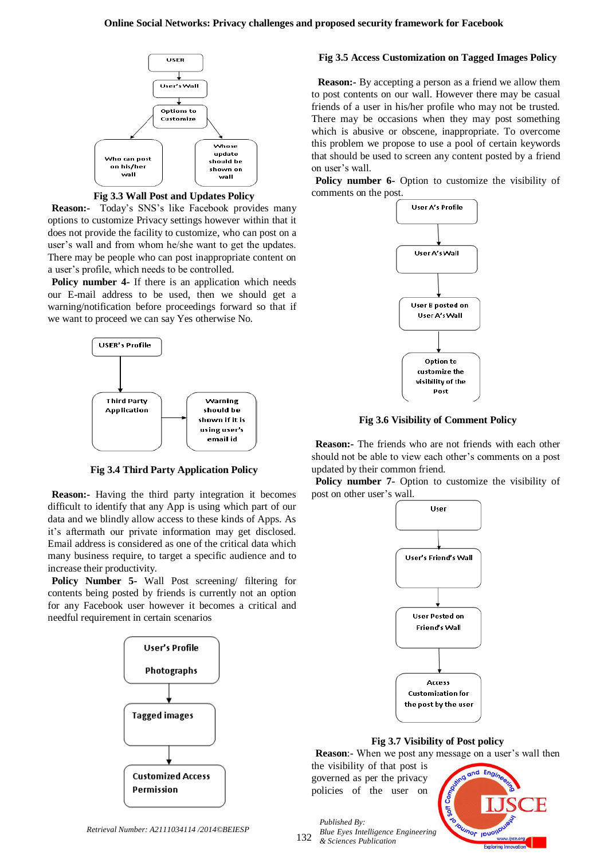

**Fig 3.3 Wall Post and Updates Policy**

**Reason:-** Today's SNS's like Facebook provides many options to customize Privacy settings however within that it does not provide the facility to customize, who can post on a user's wall and from whom he/she want to get the updates. There may be people who can post inappropriate content on a user's profile, which needs to be controlled.

Policy number 4- If there is an application which needs our E-mail address to be used, then we should get a warning/notification before proceedings forward so that if we want to proceed we can say Yes otherwise No.



**Fig 3.4 Third Party Application Policy**

**Reason:-** Having the third party integration it becomes difficult to identify that any App is using which part of our data and we blindly allow access to these kinds of Apps. As it's aftermath our private information may get disclosed. Email address is considered as one of the critical data which many business require, to target a specific audience and to increase their productivity.

**Policy Number 5-** Wall Post screening/ filtering for contents being posted by friends is currently not an option for any Facebook user however it becomes a critical and needful requirement in certain scenarios



#### *Retrieval Number: A2111034114 /2014©BEIESP*

## **Fig 3.5 Access Customization on Tagged Images Policy**

**Reason:-** By accepting a person as a friend we allow them to post contents on our wall. However there may be casual friends of a user in his/her profile who may not be trusted. There may be occasions when they may post something which is abusive or obscene, inappropriate. To overcome this problem we propose to use a pool of certain keywords that should be used to screen any content posted by a friend on user's wall.

**Policy number 6-** Option to customize the visibility of comments on the post.



**Fig 3.6 Visibility of Comment Policy**

**Reason:-** The friends who are not friends with each other should not be able to view each other's comments on a post updated by their common friend.

Policy number 7- Option to customize the visibility of post on other user's wall.



**Fig 3.7 Visibility of Post policy**

**Reason:**- When we post any message on a user's wall then

the visibility of that post is governed as per the privacy policies of the user on



132 *Blue Eyes Intelligence Engineering & Sciences Publication* 

*Published By:*